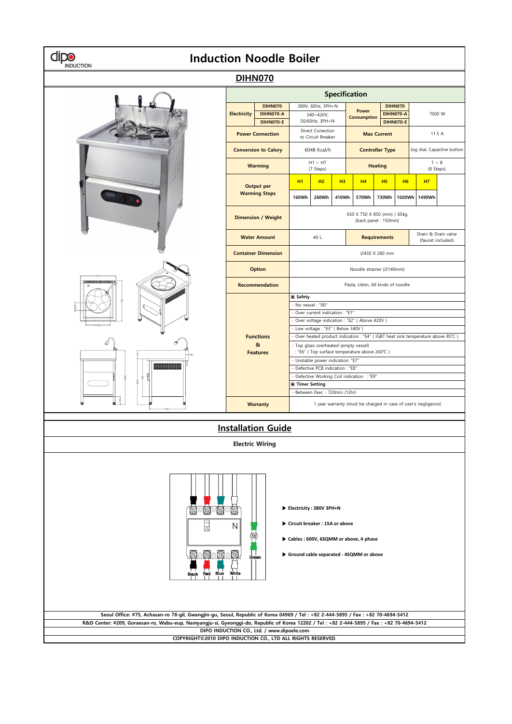